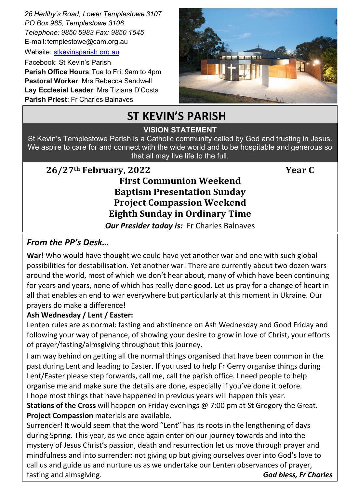*26 Herlihy's Road, Lower Templestowe 3107 PO Box 985, Templestowe 3106 Telephone: 9850 5983 Fax: 9850 1545* E-mail: templestowe@cam.org.au

Website: [stkevinsparish.org.au](http://pol.org.au/templestowe/Home.aspx)

Facebook: St Kevin's Parish **Parish Office Hours**:Tue to Fri: 9am to 4pm **Pastoral Worker**: Mrs Rebecca Sandwell **Lay Ecclesial Leader**: Mrs Tiziana D'Costa **Parish Priest**: Fr Charles Balnaves



# **ST KEVIN'S PARISH**

#### St. Kevin's is a welcoming community founded on the Father's LOVE for us and by giving service to all. **VISION STATEMENT**

St Kevin's Templestowe Parish is a Catholic community called by God and trusting in Jesus. We aspire to care for and connect with the wide world and to be hospitable and generous so that all may live life to the full.

# **26/27th February, 2022 Year C**

# **First Communion Weekend Baptism Presentation Sunday Project Compassion Weekend Eighth Sunday in Ordinary Time**

*Our Presider today is:* Fr Charles Balnaves

#### *From the PP's Desk…*

**War!** Who would have thought we could have yet another war and one with such global possibilities for destabilisation. Yet another war! There are currently about two dozen wars around the world, most of which we don't hear about, many of which have been continuing for years and years, none of which has really done good. Let us pray for a change of heart in all that enables an end to war everywhere but particularly at this moment in Ukraine. Our prayers do make a difference!

#### **Ash Wednesday / Lent / Easter:**

Lenten rules are as normal: fasting and abstinence on Ash Wednesday and Good Friday and following your way of penance, of showing your desire to grow in love of Christ, your efforts of prayer/fasting/almsgiving throughout this journey.

I am way behind on getting all the normal things organised that have been common in the past during Lent and leading to Easter. If you used to help Fr Gerry organise things during Lent/Easter please step forwards, call me, call the parish office. I need people to help organise me and make sure the details are done, especially if you've done it before. I hope most things that have happened in previous years will happen this year.

**Stations of the Cross** will happen on Friday evenings @ 7:00 pm at St Gregory the Great. **Project Compassion** materials are available.

Surrender! It would seem that the word "Lent" has its roots in the lengthening of days during Spring. This year, as we once again enter on our journey towards and into the mystery of Jesus Christ's passion, death and resurrection let us move through prayer and mindfulness and into surrender: not giving up but giving ourselves over into God's love to call us and guide us and nurture us as we undertake our Lenten observances of prayer, fasting and almsgiving. *God bless, Fr Charles*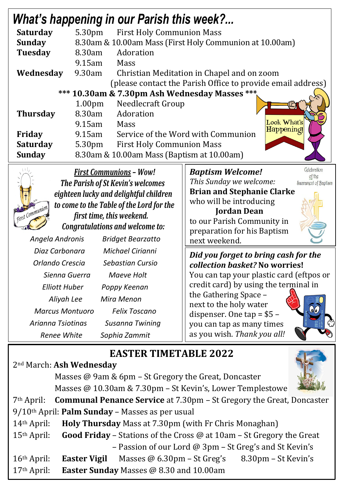| <b>What's happening in our Parish this week?</b> |                                           |                                                         |                                                             |                       |  |
|--------------------------------------------------|-------------------------------------------|---------------------------------------------------------|-------------------------------------------------------------|-----------------------|--|
| <b>Saturday</b>                                  |                                           | 5.30pm First Holy Communion Mass                        |                                                             |                       |  |
| <b>Sunday</b>                                    |                                           | 8.30am & 10.00am Mass (First Holy Communion at 10.00am) |                                                             |                       |  |
| <b>Tuesday</b>                                   | 8.30am                                    | Adoration                                               |                                                             |                       |  |
|                                                  | $9.15$ am                                 | Mass                                                    |                                                             |                       |  |
| Wednesday                                        | 9.30am                                    |                                                         | Christian Meditation in Chapel and on zoom                  |                       |  |
|                                                  |                                           |                                                         | (please contact the Parish Office to provide email address) |                       |  |
|                                                  |                                           | *** 10.30am & 7.30pm Ash Wednesday Masses ***           |                                                             |                       |  |
|                                                  | 1.00 <sub>pm</sub>                        | <b>Needlecraft Group</b>                                |                                                             |                       |  |
| <b>Thursday</b>                                  | 8.30am                                    | Adoration                                               |                                                             |                       |  |
|                                                  | $9.15$ am                                 | Mass                                                    | Look What's                                                 |                       |  |
| Friday                                           | 9.15am                                    | Happening!<br>Service of the Word with Communion        |                                                             |                       |  |
| <b>Saturday</b>                                  | 5.30pm                                    | <b>First Holy Communion Mass</b>                        |                                                             |                       |  |
| <b>Sunday</b>                                    |                                           | 8.30am & 10.00am Mass (Baptism at 10.00am)              |                                                             |                       |  |
|                                                  |                                           | <b>First Communions - Wow!</b>                          | <b>Baptism Welcome!</b>                                     | Celebration<br>of the |  |
| The Parish of St Kevin's welcomes                |                                           |                                                         | This Sunday we welcome:                                     | Sacrament of Baptism  |  |
|                                                  |                                           | eighteen lucky and delightful children                  | <b>Brian and Stephanie Clarke</b>                           |                       |  |
| to come to the Table of the Lord for the         |                                           |                                                         | who will be introducing                                     |                       |  |
| <b>First Communion</b>                           | first time, this weekend.                 |                                                         | <b>Jordan Dean</b>                                          |                       |  |
| Congratulations and welcome to:                  |                                           |                                                         | to our Parish Community in                                  |                       |  |
| Angela Andronis                                  |                                           |                                                         | preparation for his Baptism                                 |                       |  |
|                                                  |                                           | <b>Bridget Bearzatto</b>                                | next weekend.                                               |                       |  |
|                                                  | Diaz Carbonara<br><b>Michael Cirianni</b> |                                                         | Did you forget to bring cash for the                        |                       |  |
| Orlando Crescia                                  |                                           | <b>Sebastian Cursio</b>                                 | collection basket? No worries!                              |                       |  |

You can tap your plastic card (eftpos or credit card) by using the terminal in

the Gathering Space – next to the holy water dispenser. One tap = \$5 – you can tap as many times as you wish. *Thank you all!*



# **EASTER TIMETABLE 2022**

# 2nd March: **Ash Wednesday**

Masses @ 9am & 6pm – St Gregory the Great, Doncaster Masses @ 10.30am & 7.30pm – St Kevin's, Lower Templestowe

7th April: **Communal Penance Service** at 7.30pm – St Gregory the Great, Doncaster

9/10th April: **Palm Sunday** – Masses as per usual

*Sienna Guerra Maeve Holt*

*Elliott Huber Poppy Keenan Aliyah Lee Mira Menon*

*Marcus Montuoro Felix Toscano*

*Arianna Tsiotinas Susanna Twining Renee White Sophia Zammit*

14th April: **Holy Thursday** Mass at 7.30pm (with Fr Chris Monaghan)

15th April: **Good Friday** – Stations of the Cross @ at 10am – St Gregory the Great – Passion of our Lord @ 3pm – St Greg's and St Kevin's

16th April: **Easter Vigil** Masses @ 6.30pm – St Greg's 8.30pm – St Kevin's

17th April: **Easter Sunday** Masses @ 8.30 and 10.00am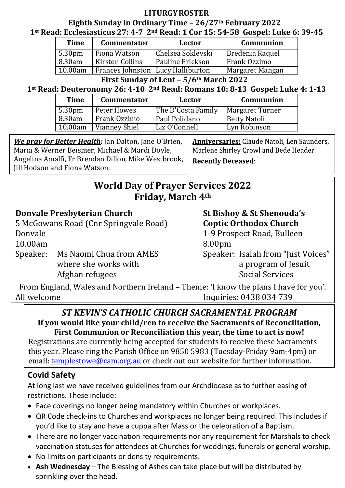#### **LITURGYROSTER**

#### **Eighth Sunday in Ordinary Time – 26/27th February 2022 1st Read: Ecclesiasticus 27: 4-7 2nd Read: 1 Cor 15: 54-58 Gospel: Luke 6: 39-45**

| <b>Time</b>        | <b>Commentator</b>                  | Lector                  | <b>Communion</b> |
|--------------------|-------------------------------------|-------------------------|------------------|
| 5.30 <sub>pm</sub> | Fiona Watson                        | Chelsea Soklevski       | Bredenia Raquel  |
| 8.30am             | Kirsten Collins                     | <b>Pauline Erickson</b> | Frank Ozzimo     |
| 10.00am            | Frances Johnston   Lucy Halliburton |                         | Margaret Mangan  |

**First Sunday of Lent – 5/6th March 2022**

# **1st Read: Deuteronomy 26: 4-10 2nd Read: Romans 10: 8-13 Gospel: Luke 4: 1-13**

| <b>Time</b>        | <b>Commentator</b> | Lector             | Communion           |
|--------------------|--------------------|--------------------|---------------------|
| 5.30 <sub>pm</sub> | Peter Howes        | The D'Costa Family | Margaret Turner     |
| 8.30am             | Frank Ozzimo       | Paul Polidano      | <b>Betty Natoli</b> |
| 10.00am            | Vianney Shiel      | Liz O'Connell      | Lyn Robinson        |

*We pray for Better Health:* Jan Dalton, Jane O'Brien, Maria & Werner Beismer, Michael & Mardi Doyle, Angelina Amalfi, Fr Brendan Dillon, Mike Westbrook, Jill Hodson and Fiona Watson.

Anniversaries: Claude Natoli, Len Saunders, Marlene Shirley Crowl and Bede Header. **Recently Deceased:** 

# **World Day of Prayer Services 2022 Friday, March 4th**

#### **Donvale Presbyterian Church St Bishoy & St Shenouda's**

5 McGowans Road (Cnr Springvale Road) **Coptic Orthodox Church**

10.00am 8.00pm

Speaker: Ms Naomi Chua from AMES<br>where she works with a program of Iesuit Afghan refugees

- Donvale 1-9 Prospect Road, Bulleen
	-

a program of Jesuit<br>Social Services

From England, Wales and Northern Ireland – Theme: 'I know the plans I have for you'. Inquiries: 0438 034 739

# *ST KEVIN'S CATHOLIC CHURCH SACRAMENTAL PROGRAM*

**If you would like your child/ren to receive the Sacraments of Reconciliation, First Communion or Reconciliation this year, the time to act is now!**

Registrations are currently being accepted for students to receive these Sacraments this year. Please ring the Parish Office on 9850 5983 (Tuesday-Friday 9am-4pm) or email: [templestowe@cam.org.au](mailto:templestowe@cam.org.au) or check out our website for further information.

# **Covid Safety**

At long last we have received guidelines from our Archdiocese as to further easing of restrictions. These include:

- Face coverings no longer being mandatory within Churches or workplaces.
- QR Code check-ins to Churches and workplaces no longer being required. This includes if you'd like to stay and have a cuppa after Mass or the celebration of a Baptism.
- There are no longer vaccination requirements nor any requirement for Marshals to check vaccination statuses for attendees at Churches for weddings, funerals or general worship.
- No limits on participants or density requirements.
- **Ash Wednesday** The Blessing of Ashes can take place but will be distributed by sprinkling over the head.